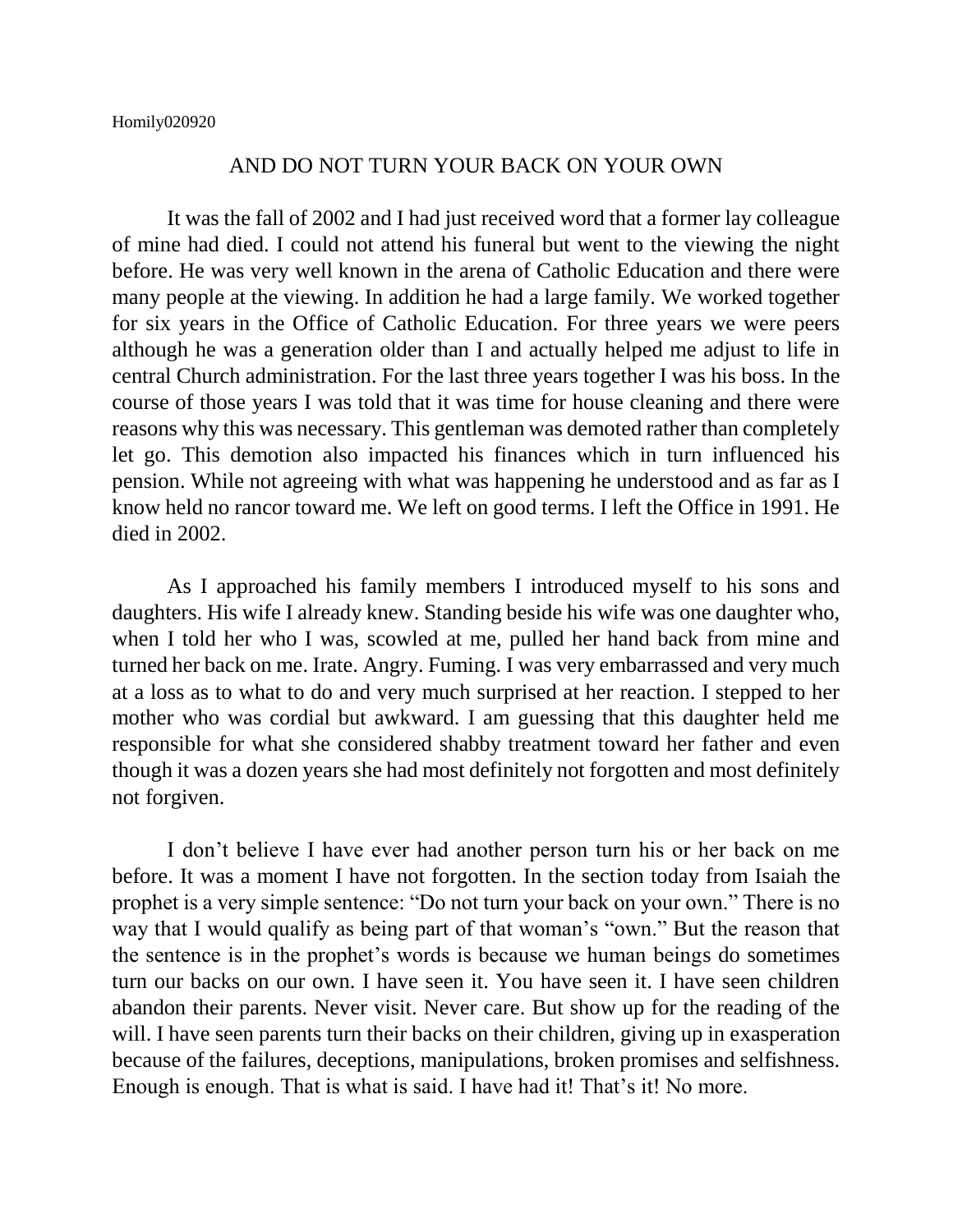## AND DO NOT TURN YOUR BACK ON YOUR OWN

It was the fall of 2002 and I had just received word that a former lay colleague of mine had died. I could not attend his funeral but went to the viewing the night before. He was very well known in the arena of Catholic Education and there were many people at the viewing. In addition he had a large family. We worked together for six years in the Office of Catholic Education. For three years we were peers although he was a generation older than I and actually helped me adjust to life in central Church administration. For the last three years together I was his boss. In the course of those years I was told that it was time for house cleaning and there were reasons why this was necessary. This gentleman was demoted rather than completely let go. This demotion also impacted his finances which in turn influenced his pension. While not agreeing with what was happening he understood and as far as I know held no rancor toward me. We left on good terms. I left the Office in 1991. He died in 2002.

As I approached his family members I introduced myself to his sons and daughters. His wife I already knew. Standing beside his wife was one daughter who, when I told her who I was, scowled at me, pulled her hand back from mine and turned her back on me. Irate. Angry. Fuming. I was very embarrassed and very much at a loss as to what to do and very much surprised at her reaction. I stepped to her mother who was cordial but awkward. I am guessing that this daughter held me responsible for what she considered shabby treatment toward her father and even though it was a dozen years she had most definitely not forgotten and most definitely not forgiven.

I don't believe I have ever had another person turn his or her back on me before. It was a moment I have not forgotten. In the section today from Isaiah the prophet is a very simple sentence: "Do not turn your back on your own." There is no way that I would qualify as being part of that woman's "own." But the reason that the sentence is in the prophet's words is because we human beings do sometimes turn our backs on our own. I have seen it. You have seen it. I have seen children abandon their parents. Never visit. Never care. But show up for the reading of the will. I have seen parents turn their backs on their children, giving up in exasperation because of the failures, deceptions, manipulations, broken promises and selfishness. Enough is enough. That is what is said. I have had it! That's it! No more.